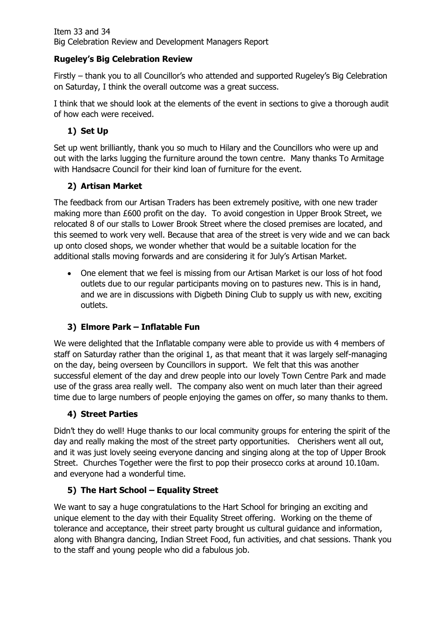#### **Rugeley's Big Celebration Review**

Firstly – thank you to all Councillor's who attended and supported Rugeley's Big Celebration on Saturday, I think the overall outcome was a great success.

I think that we should look at the elements of the event in sections to give a thorough audit of how each were received.

# **1) Set Up**

Set up went brilliantly, thank you so much to Hilary and the Councillors who were up and out with the larks lugging the furniture around the town centre. Many thanks To Armitage with Handsacre Council for their kind loan of furniture for the event.

### **2) Artisan Market**

The feedback from our Artisan Traders has been extremely positive, with one new trader making more than £600 profit on the day. To avoid congestion in Upper Brook Street, we relocated 8 of our stalls to Lower Brook Street where the closed premises are located, and this seemed to work very well. Because that area of the street is very wide and we can back up onto closed shops, we wonder whether that would be a suitable location for the additional stalls moving forwards and are considering it for July's Artisan Market.

• One element that we feel is missing from our Artisan Market is our loss of hot food outlets due to our regular participants moving on to pastures new. This is in hand, and we are in discussions with Digbeth Dining Club to supply us with new, exciting outlets.

# **3) Elmore Park – Inflatable Fun**

We were delighted that the Inflatable company were able to provide us with 4 members of staff on Saturday rather than the original 1, as that meant that it was largely self-managing on the day, being overseen by Councillors in support. We felt that this was another successful element of the day and drew people into our lovely Town Centre Park and made use of the grass area really well. The company also went on much later than their agreed time due to large numbers of people enjoying the games on offer, so many thanks to them.

### **4) Street Parties**

Didn't they do well! Huge thanks to our local community groups for entering the spirit of the day and really making the most of the street party opportunities. Cherishers went all out, and it was just lovely seeing everyone dancing and singing along at the top of Upper Brook Street. Churches Together were the first to pop their prosecco corks at around 10.10am. and everyone had a wonderful time.

### **5) The Hart School – Equality Street**

We want to say a huge congratulations to the Hart School for bringing an exciting and unique element to the day with their Equality Street offering. Working on the theme of tolerance and acceptance, their street party brought us cultural guidance and information, along with Bhangra dancing, Indian Street Food, fun activities, and chat sessions. Thank you to the staff and young people who did a fabulous job.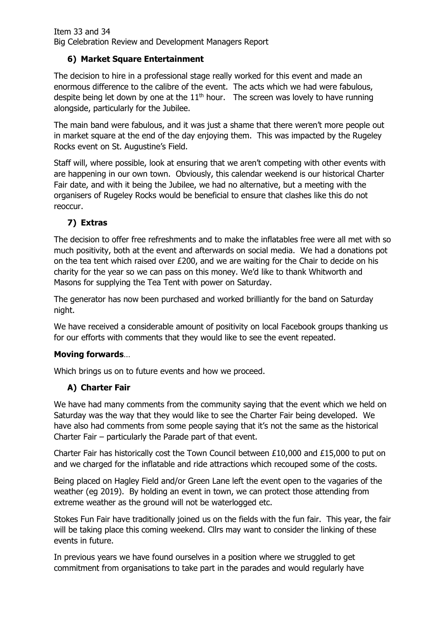### **6) Market Square Entertainment**

The decision to hire in a professional stage really worked for this event and made an enormous difference to the calibre of the event. The acts which we had were fabulous, despite being let down by one at the  $11<sup>th</sup>$  hour. The screen was lovely to have running alongside, particularly for the Jubilee.

The main band were fabulous, and it was just a shame that there weren't more people out in market square at the end of the day enjoying them. This was impacted by the Rugeley Rocks event on St. Augustine's Field.

Staff will, where possible, look at ensuring that we aren't competing with other events with are happening in our own town. Obviously, this calendar weekend is our historical Charter Fair date, and with it being the Jubilee, we had no alternative, but a meeting with the organisers of Rugeley Rocks would be beneficial to ensure that clashes like this do not reoccur.

## **7) Extras**

The decision to offer free refreshments and to make the inflatables free were all met with so much positivity, both at the event and afterwards on social media. We had a donations pot on the tea tent which raised over £200, and we are waiting for the Chair to decide on his charity for the year so we can pass on this money. We'd like to thank Whitworth and Masons for supplying the Tea Tent with power on Saturday.

The generator has now been purchased and worked brilliantly for the band on Saturday night.

We have received a considerable amount of positivity on local Facebook groups thanking us for our efforts with comments that they would like to see the event repeated.

### **Moving forwards**…

Which brings us on to future events and how we proceed.

### **A) Charter Fair**

We have had many comments from the community saying that the event which we held on Saturday was the way that they would like to see the Charter Fair being developed. We have also had comments from some people saying that it's not the same as the historical Charter Fair – particularly the Parade part of that event.

Charter Fair has historically cost the Town Council between £10,000 and £15,000 to put on and we charged for the inflatable and ride attractions which recouped some of the costs.

Being placed on Hagley Field and/or Green Lane left the event open to the vagaries of the weather (eg 2019). By holding an event in town, we can protect those attending from extreme weather as the ground will not be waterlogged etc.

Stokes Fun Fair have traditionally joined us on the fields with the fun fair. This year, the fair will be taking place this coming weekend. Cllrs may want to consider the linking of these events in future.

In previous years we have found ourselves in a position where we struggled to get commitment from organisations to take part in the parades and would regularly have